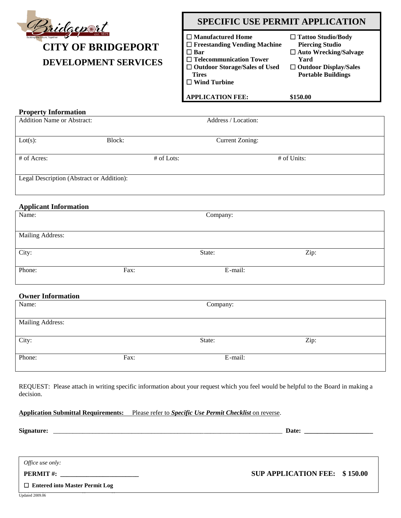

# **CITY OF BRIDGEPORT DEVELOPMENT SERVICES**

### **SPECIFIC USE PERMIT APPLICATION**

| $\Box$ Manufactured Home             | $\Box$ Tattoo Studio/Body    |
|--------------------------------------|------------------------------|
| $\Box$ Freestanding Vending Machine  | <b>Piercing Studio</b>       |
| $\square$ Bar                        | $\Box$ Auto Wrecking/Salvage |
| $\Box$ Telecommunication Tower       | Yard                         |
| $\Box$ Outdoor Storage/Sales of Used | $\Box$ Outdoor Display/Sales |
| <b>Tires</b>                         | <b>Portable Buildings</b>    |
| $\Box$ Wind Turbine                  |                              |
|                                      |                              |

**APPLICATION FEE:** 

**\$150.00**

| <b>Property Information</b>               |            |                        |             |
|-------------------------------------------|------------|------------------------|-------------|
| Addition Name or Abstract:                |            | Address / Location:    |             |
| $Lot(s)$ :                                | Block:     | <b>Current Zoning:</b> |             |
| # of Acres:                               | # of Lots: |                        | # of Units: |
| Legal Description (Abstract or Addition): |            |                        |             |
| <b>Applicant Information</b>              |            |                        |             |
| Name:                                     |            | Company:               |             |
| <b>Mailing Address:</b>                   |            |                        |             |
| City:                                     |            | State:                 | Zip:        |
| Phone:                                    | Fax:       | E-mail:                |             |
| <b>Owner Information</b>                  |            |                        |             |
| Name:                                     |            | Company:               |             |
| <b>Mailing Address:</b>                   |            |                        |             |
| City:                                     |            | State:                 | Zip:        |

REQUEST: Please attach in writing specific information about your request which you feel would be helpful to the Board in making a decision.

#### **Application Submittal Requirements:** Please refer to *Specific Use Permit Checklist* on reverse.

Phone: E-mail: Fax: Fax: E-mail:

| Signature: |
|------------|
|------------|

**Signature:** \_\_\_\_\_\_\_\_\_\_\_\_\_\_\_\_\_\_\_\_\_\_\_\_\_\_\_\_\_\_\_\_\_\_\_\_\_\_\_\_\_\_\_\_\_\_\_\_\_\_\_\_\_\_\_\_\_\_\_\_\_\_\_\_\_\_\_\_\_\_ **Date: \_\_\_\_\_\_\_\_\_\_\_\_\_\_\_\_\_\_\_\_\_**

1of 2

*Office use only:*

**901 CATES STREET ● BRIDGEPORT, TEXAS 76426 ● 940.683.3413 ● FAX 940.683.4361 PERMIT #: \_\_\_\_\_\_\_\_\_\_\_\_\_\_\_\_\_\_\_\_\_\_\_\_ SUP APPLICATION FEE: \$ 150.00**

 $\mathbb{S}^2$  ,  $\mathbb{S}^2$  applications  $\mathbb{S}^2$  applications  $\mathbb{S}^2$  applications.  $\mathbb{S}^2$  **Entered into Master Permit Log**

Updated 2009.06